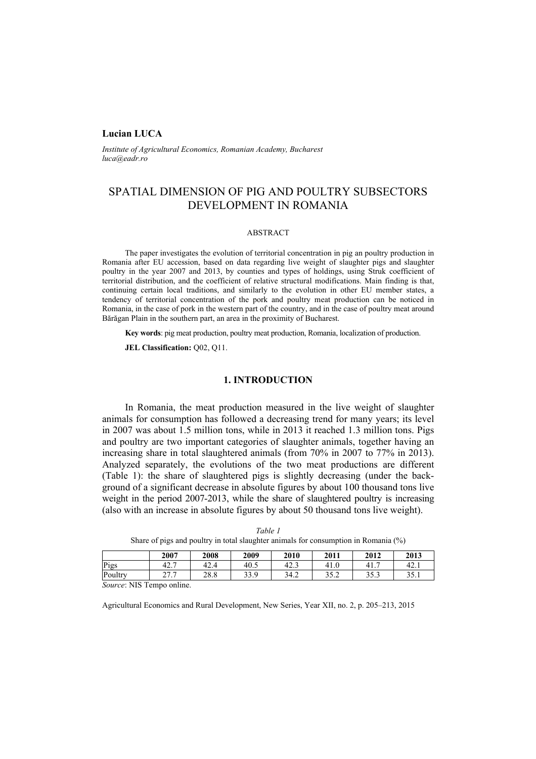### **Lucian LUCA**

*Institute of Agricultural Economics, Romanian Academy, Bucharest luca@eadr.ro* 

# SPATIAL DIMENSION OF PIG AND POULTRY SUBSECTORS DEVELOPMENT IN ROMANIA

#### ABSTRACT

The paper investigates the evolution of territorial concentration in pig an poultry production in Romania after EU accession, based on data regarding live weight of slaughter pigs and slaughter poultry in the year 2007 and 2013, by counties and types of holdings, using Struk coefficient of territorial distribution, and the coefficient of relative structural modifications. Main finding is that, continuing certain local traditions, and similarly to the evolution in other EU member states, a tendency of territorial concentration of the pork and poultry meat production can be noticed in Romania, in the case of pork in the western part of the country, and in the case of poultry meat around Bărăgan Plain in the southern part, an area in the proximity of Bucharest.

**Key words**: pig meat production, poultry meat production, Romania, localization of production.

**JEL Classification: Q02, Q11.** 

### **1. INTRODUCTION**

In Romania, the meat production measured in the live weight of slaughter animals for consumption has followed a decreasing trend for many years; its level in 2007 was about 1.5 million tons, while in 2013 it reached 1.3 million tons. Pigs and poultry are two important categories of slaughter animals, together having an increasing share in total slaughtered animals (from 70% in 2007 to 77% in 2013). Analyzed separately, the evolutions of the two meat productions are different (Table 1): the share of slaughtered pigs is slightly decreasing (under the background of a significant decrease in absolute figures by about 100 thousand tons live weight in the period 2007-2013, while the share of slaughtered poultry is increasing (also with an increase in absolute figures by about 50 thousand tons live weight).

|                         | .                                 |      |      |      |      |      |      |  |
|-------------------------|-----------------------------------|------|------|------|------|------|------|--|
|                         | 2007                              | 2008 | 2009 | 2010 | 2011 | 2012 | 2013 |  |
| Pigs                    | 42.1                              | 42.4 | 40.5 | 42.3 | 41.0 | 41.  | 42.1 |  |
| Poultry                 | 777<br>$\sim$ $\prime$ . $\prime$ | 28.8 | 33.9 | 34.2 | 35.2 | 35.3 | 35.1 |  |
| Course MIC Tompo oplina |                                   |      |      |      |      |      |      |  |

*Table 1*  Share of pigs and poultry in total slaughter animals for consumption in Romania (%)

*Source*: NIS Tempo online.

Agricultural Economics and Rural Development, New Series, Year XII, no. 2, p. 205–213, 2015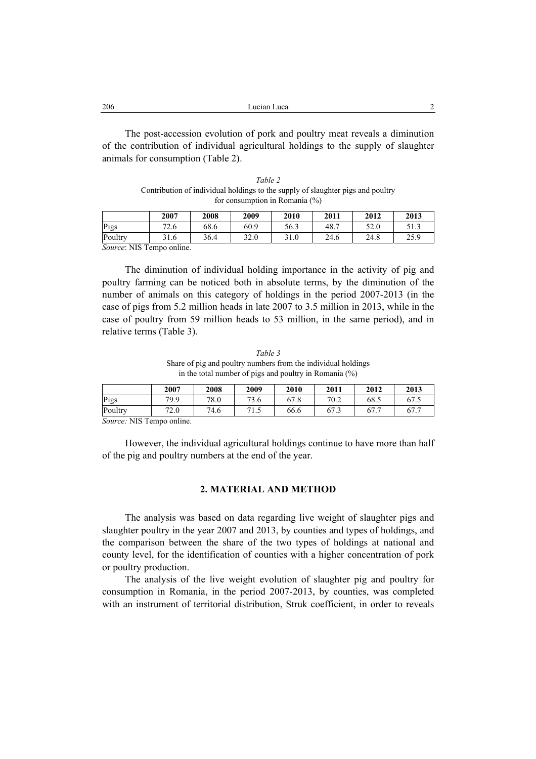| 206 | Lucian Luca |  |
|-----|-------------|--|
|     |             |  |

The post-accession evolution of pork and poultry meat reveals a diminution of the contribution of individual agricultural holdings to the supply of slaughter animals for consumption (Table 2).

*Table 2*  Contribution of individual holdings to the supply of slaughter pigs and poultry for consumption in Romania (%)

|                         | 2007 | 2008 | 2009 | 2010 | 2011 | 2012 | 2013 |
|-------------------------|------|------|------|------|------|------|------|
| Pigs                    | 72.6 | 68.6 | 60.9 | 56.3 | 48.7 | 52.0 | 51.3 |
| Poultry                 | 31.6 | 36.4 | 32.0 | 31.0 | 24.6 | 24.8 | 25.9 |
| Course MIC Tompo opting |      |      |      |      |      |      |      |

*Source*: NIS Tempo online.

The diminution of individual holding importance in the activity of pig and poultry farming can be noticed both in absolute terms, by the diminution of the number of animals on this category of holdings in the period 2007-2013 (in the case of pigs from 5.2 million heads in late 2007 to 3.5 million in 2013, while in the case of poultry from 59 million heads to 53 million, in the same period), and in relative terms (Table 3).

*Table 3* Share of pig and poultry numbers from the individual holdings in the total number of pigs and poultry in Romania (%)

|         | 2007 | 2008 | 2009          | 2010 | 2011 | 2012 | 2013 |
|---------|------|------|---------------|------|------|------|------|
| Pigs    | 79.9 | 78.0 | 73.6          | 67.8 | 70.2 | 68.5 | 67.5 |
| Poultry | 72.0 | 74.6 | 71<br>$\cdot$ | 66.6 | 67.3 | 67.  | 67.7 |

*Source:* NIS Tempo online.

However, the individual agricultural holdings continue to have more than half of the pig and poultry numbers at the end of the year.

# **2. MATERIAL AND METHOD**

The analysis was based on data regarding live weight of slaughter pigs and slaughter poultry in the year 2007 and 2013, by counties and types of holdings, and the comparison between the share of the two types of holdings at national and county level, for the identification of counties with a higher concentration of pork or poultry production.

The analysis of the live weight evolution of slaughter pig and poultry for consumption in Romania, in the period 2007-2013, by counties, was completed with an instrument of territorial distribution, Struk coefficient, in order to reveals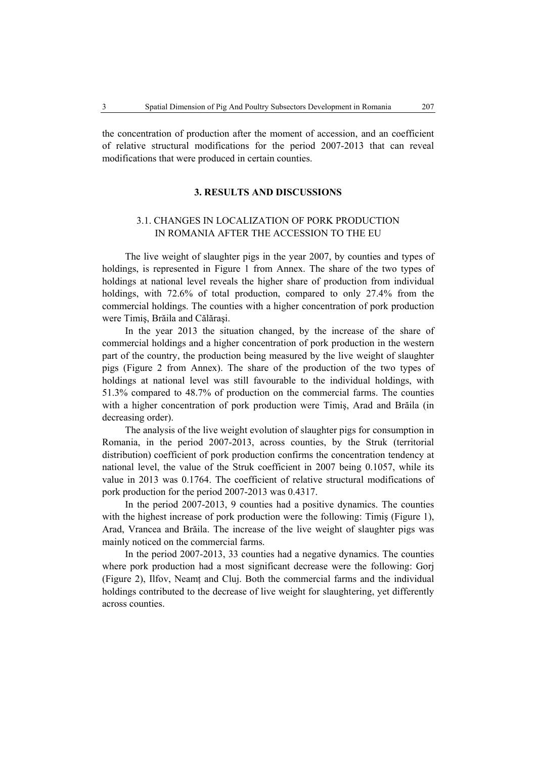the concentration of production after the moment of accession, and an coefficient of relative structural modifications for the period 2007-2013 that can reveal modifications that were produced in certain counties.

#### **3. RESULTS AND DISCUSSIONS**

# 3.1. CHANGES IN LOCALIZATION OF PORK PRODUCTION IN ROMANIA AFTER THE ACCESSION TO THE EU

The live weight of slaughter pigs in the year 2007, by counties and types of holdings, is represented in Figure 1 from Annex. The share of the two types of holdings at national level reveals the higher share of production from individual holdings, with 72.6% of total production, compared to only 27.4% from the commercial holdings. The counties with a higher concentration of pork production were Timiş, Brăila and Călăraşi.

In the year 2013 the situation changed, by the increase of the share of commercial holdings and a higher concentration of pork production in the western part of the country, the production being measured by the live weight of slaughter pigs (Figure 2 from Annex). The share of the production of the two types of holdings at national level was still favourable to the individual holdings, with 51.3% compared to 48.7% of production on the commercial farms. The counties with a higher concentration of pork production were Timiş, Arad and Brăila (in decreasing order).

The analysis of the live weight evolution of slaughter pigs for consumption in Romania, in the period 2007-2013, across counties, by the Struk (territorial distribution) coefficient of pork production confirms the concentration tendency at national level, the value of the Struk coefficient in 2007 being 0.1057, while its value in 2013 was 0.1764. The coefficient of relative structural modifications of pork production for the period 2007-2013 was 0.4317.

In the period 2007-2013, 9 counties had a positive dynamics. The counties with the highest increase of pork production were the following: Timiş (Figure 1), Arad, Vrancea and Brăila. The increase of the live weight of slaughter pigs was mainly noticed on the commercial farms.

In the period 2007-2013, 33 counties had a negative dynamics. The counties where pork production had a most significant decrease were the following: Gorj (Figure 2), Ilfov, Neamt and Clui. Both the commercial farms and the individual holdings contributed to the decrease of live weight for slaughtering, yet differently across counties.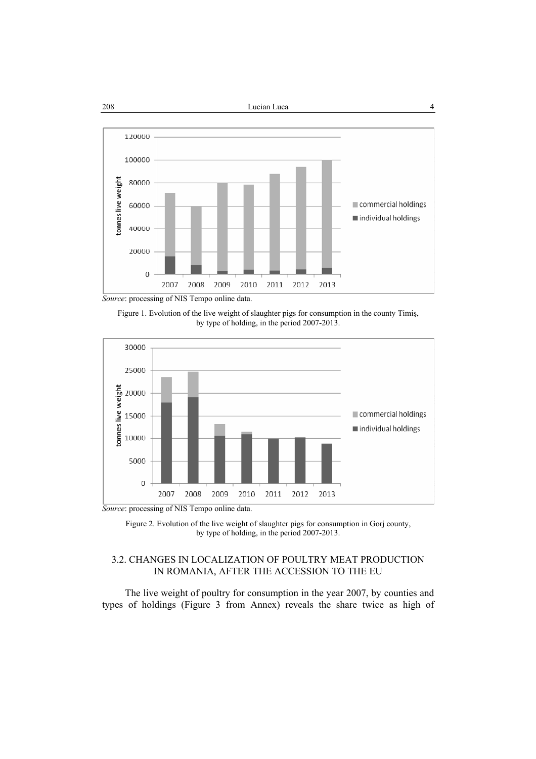

Figure 1. Evolution of the live weight of slaughter pigs for consumption in the county Timiş, by type of holding, in the period 2007-2013.



*Source*: processing of NIS Tempo online data.

Figure 2. Evolution of the live weight of slaughter pigs for consumption in Gorj county, by type of holding, in the period 2007-2013.

# 3.2. CHANGES IN LOCALIZATION OF POULTRY MEAT PRODUCTION IN ROMANIA, AFTER THE ACCESSION TO THE EU

The live weight of poultry for consumption in the year 2007, by counties and types of holdings (Figure 3 from Annex) reveals the share twice as high of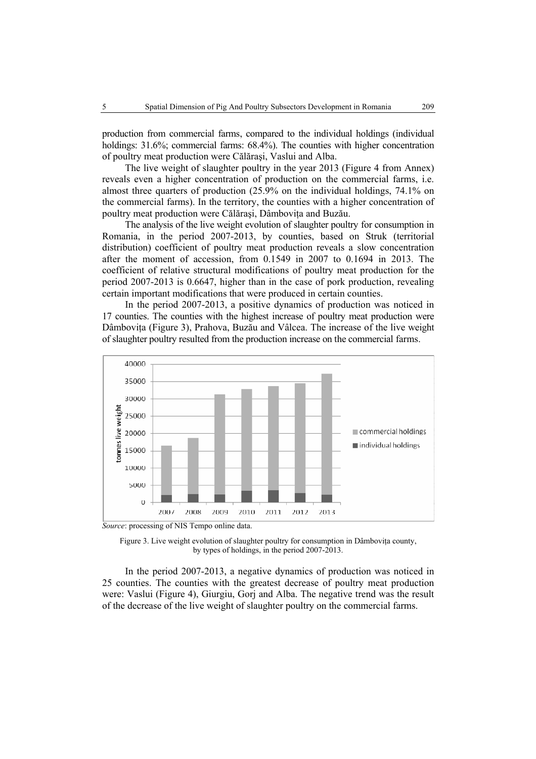production from commercial farms, compared to the individual holdings (individual holdings: 31.6%; commercial farms: 68.4%). The counties with higher concentration of poultry meat production were Călăraşi, Vaslui and Alba.

The live weight of slaughter poultry in the year 2013 (Figure 4 from Annex) reveals even a higher concentration of production on the commercial farms, i.e. almost three quarters of production (25.9% on the individual holdings, 74.1% on the commercial farms). In the territory, the counties with a higher concentration of poultry meat production were Călărași, Dâmbovița and Buzău.

The analysis of the live weight evolution of slaughter poultry for consumption in Romania, in the period 2007-2013, by counties, based on Struk (territorial distribution) coefficient of poultry meat production reveals a slow concentration after the moment of accession, from 0.1549 in 2007 to 0.1694 in 2013. The coefficient of relative structural modifications of poultry meat production for the period 2007-2013 is 0.6647, higher than in the case of pork production, revealing certain important modifications that were produced in certain counties.

In the period 2007-2013, a positive dynamics of production was noticed in 17 counties. The counties with the highest increase of poultry meat production were Dâmbovița (Figure 3), Prahova, Buzău and Vâlcea. The increase of the live weight of slaughter poultry resulted from the production increase on the commercial farms.







In the period 2007-2013, a negative dynamics of production was noticed in 25 counties. The counties with the greatest decrease of poultry meat production were: Vaslui (Figure 4), Giurgiu, Gorj and Alba. The negative trend was the result of the decrease of the live weight of slaughter poultry on the commercial farms.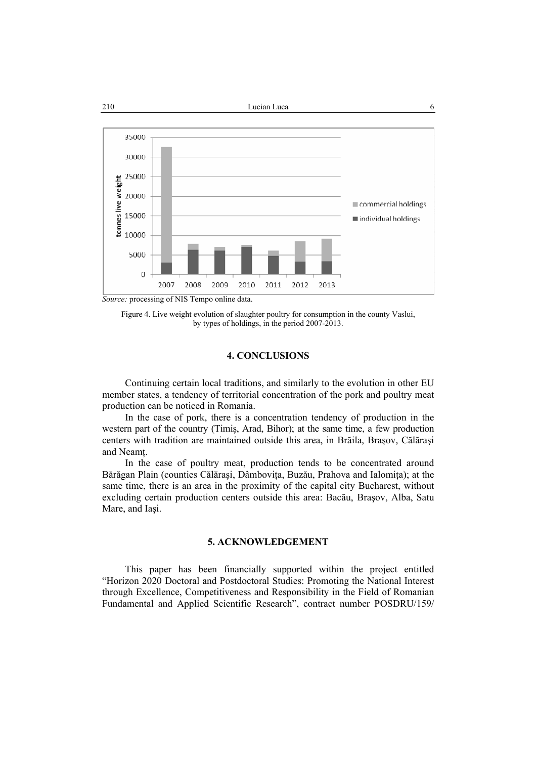

Figure 4. Live weight evolution of slaughter poultry for consumption in the county Vaslui, by types of holdings, in the period 2007-2013.

#### **4. CONCLUSIONS**

Continuing certain local traditions, and similarly to the evolution in other EU member states, a tendency of territorial concentration of the pork and poultry meat production can be noticed in Romania.

In the case of pork, there is a concentration tendency of production in the western part of the country (Timiş, Arad, Bihor); at the same time, a few production centers with tradition are maintained outside this area, in Brăila, Braşov, Călăraşi and Neamţ.

In the case of poultry meat, production tends to be concentrated around Bărăgan Plain (counties Călăraşi, Dâmboviţa, Buzău, Prahova and Ialomiţa); at the same time, there is an area in the proximity of the capital city Bucharest, without excluding certain production centers outside this area: Bacău, Braşov, Alba, Satu Mare, and Iaşi.

#### **5. ACKNOWLEDGEMENT**

This paper has been financially supported within the project entitled "Horizon 2020 Doctoral and Postdoctoral Studies: Promoting the National Interest through Excellence, Competitiveness and Responsibility in the Field of Romanian Fundamental and Applied Scientific Research", contract number POSDRU/159/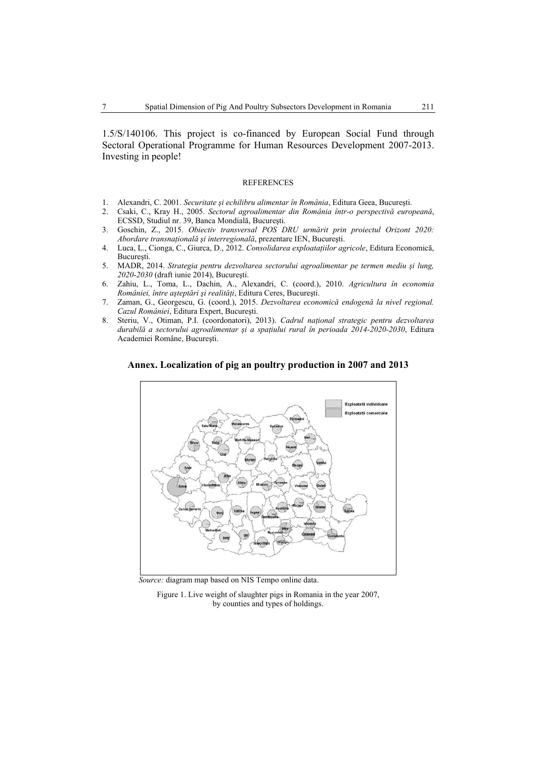1.5/S/140106. This project is co-financed by European Social Fund through Sectoral Operational Programme for Human Resources Development 2007-2013. Investing in people!

#### **REFERENCES**

- 1. Alexandri, C. 2001. *Securitate şi echilibru alimentar în România*, Editura Geea, Bucureşti.
- 2. Csaki, C., Kray H., 2005. *Sectorul agroalimentar din România într-o perspectivă europeană*, ECSSD, Studiul nr. 39, Banca Mondială, Bucureşti.
- 3. Goschin, Z., 2015. *Obiectiv transversal POS DRU urmărit prin proiectul Orizont 2020: Abordare transnaţională şi interregională*, prezentare IEN, Bucureşti.
- 4. Luca, L., Cionga, C., Giurca, D., 2012. *Consolidarea exploataţiilor agricole*, Editura Economică, Bucureşti.
- 5. MADR, 2014. *Strategia pentru dezvoltarea sectorului agroalimentar pe termen mediu şi lung, 2020-2030* (draft iunie 2014), Bucureşti.
- 6. Zahiu, L., Toma, L., Dachin, A., Alexandri, C. (coord.), 2010. *Agricultura în economia României, între aşteptări şi realităţi*, Editura Ceres, Bucureşti.
- 7. Zaman, G., Georgescu, G. (coord.), 2015. *Dezvoltarea economică endogenă la nivel regional. Cazul României*, Editura Expert, Bucureşti.
- 8. Steriu, V., Otiman, P.I. (coordonatori), 2013). *Cadrul naţional strategic pentru dezvoltarea durabilă a sectorului agroalimentar şi a spaţiului rural în perioada 2014-2020-2030*, Editura Academiei Române, Bucureşti.





 *Source:* diagram map based on NIS Tempo online data.

Figure 1. Live weight of slaughter pigs in Romania in the year 2007, by counties and types of holdings.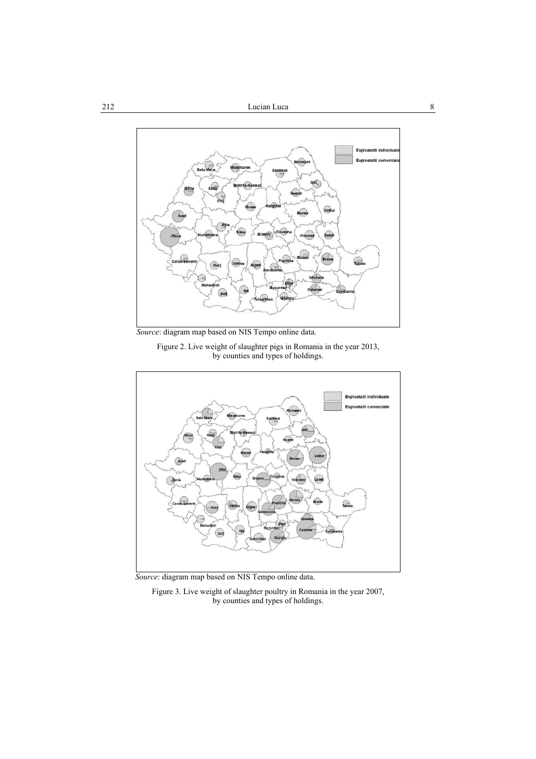

 *Source*: diagram map based on NIS Tempo online data.

Figure 2. Live weight of slaughter pigs in Romania in the year 2013, by counties and types of holdings.



 *Source*: diagram map based on NIS Tempo online data.

Figure 3. Live weight of slaughter poultry in Romania in the year 2007, by counties and types of holdings.